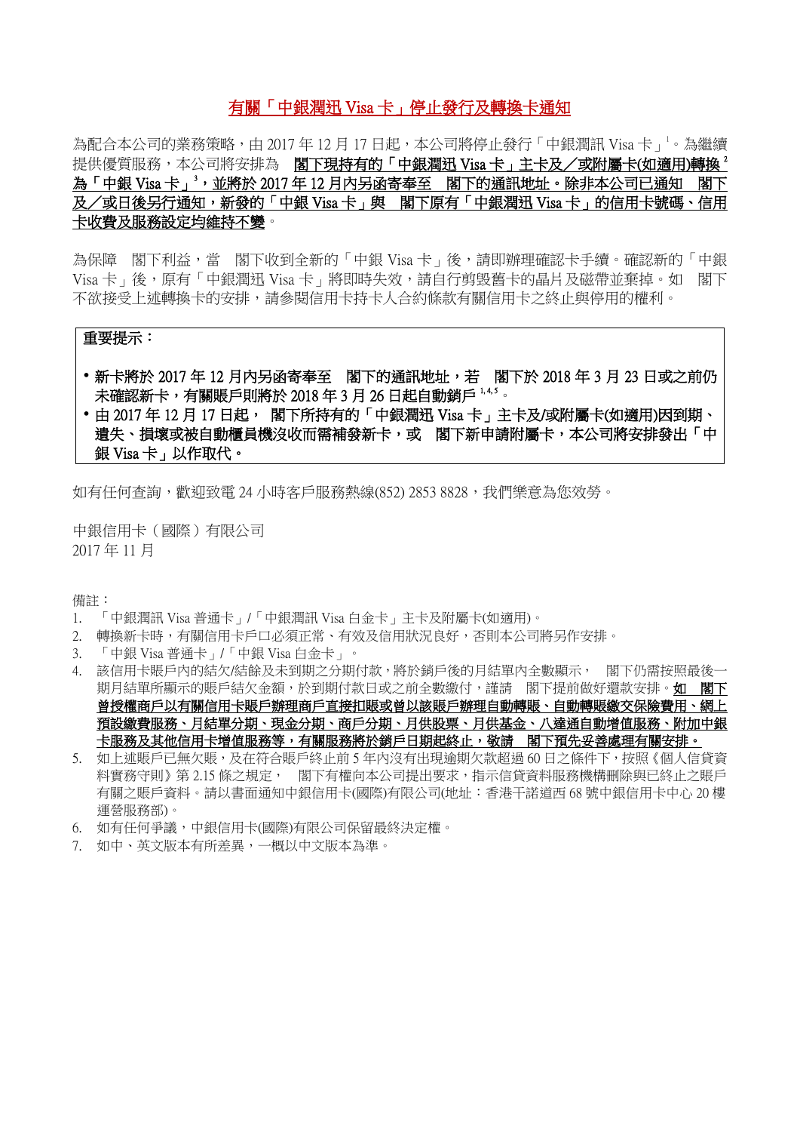# 有關「中銀潤迅 Visa 卡」停止發行及轉換卡通知

為配合本公司的業務策略,由 2017年 12月 17日起,本公司將停止發行「中銀潤訊 Visa 卡」。為繼續 提供優質服務,本公司將安排為 閣下現持有的「中銀潤迅 Visa卡」主卡及/或附屬卡(如適用)轉換<sup>2</sup> 為「中銀 Visa 卡」<sup>3,</sup>並將於 2017 年 12 月内另函寄奉至 閣下的通訊地址。除非本公司已通知 閣下 及/或日後另行通知,新發的「中銀 Visa 卡」與 閣下原有「中銀潤迅 Visa 卡」的信用卡號碼、信用 卡收費及服務設定均維持不變。

為保障 閣下利益,當 閣下收到全新的「中銀 Visa 卡」後,請即辦理確認卡手續。確認新的「中銀 Visa 卡」後,原有「中銀潤迅 Visa 卡」將即時失效,請自行剪毀舊卡的晶片及磁帶並棄掉。如 閣下 不欲接受上述轉換卡的安排,請參閱信用卡持卡人合約條款有關信用卡之終止與停用的權利。

## 重要提示:

- 新卡將於 2017 年 12 月内另函寄奉至 閣下的通訊地址,若 閣下於 2018 年 3 月 23 日或之前仍 未確認新卡,有關賬戶則將於 2018年3月 26日起自動銷戶 1,4,5。
- •由 2017年 12 月 17 日起, 閣下所持有的「中銀潤迅 Visa 卡」主卡及/或附屬卡(如適用)因到期、 遺失、損壞或被自動櫃員機沒收而需補發新卡,或 閣下新申請附屬卡,本公司將安排發出「中 銀 Visa 卡」以作取代。

如有任何查詢,歡迎致電 24 小時客戶服務熱線(852) 2853 8828,我們樂意為您效勞。

中銀信用卡(國際)有限公司 2017 年 11 月

備註:

- 1. 「中銀潤訊 Visa 普通卡」/「中銀潤訊 Visa 白金卡」主卡及附屬卡(如適用)。
- 2. 轉換新卡時,有關信用卡戶口必須正常、有效及信用狀況良好,否則本公司將另作安排。
- 3. 「中銀 Visa 普通卡」/「中銀 Visa 白金卡」。
- 4. 該信用卡賬戶內的結欠/結餘及未到期之分期付款,將於銷戶後的月結單內全數顯示, 閣下仍需按照最後一 期月結單所顯示的賬戶結欠金額,於到期付款日或之前全數繳付,謹請 閣下提前做好還款安排。如 閣下 曾授權商戶以有關信用卡賬戶辦理商戶直接扣賬或曾以該賬戶辦理自動轉賬、自動轉賬繳交保險費用、網上 預設繳費服務、月結單分期、現金分期、商戶分期、月供股票、月供基金、八達通自動增值服務、附加中銀 卡服務及其他信用卡增值服務等,有關服務將於銷戶日期起終止,敬請 閣下預先妥善處理有關安排。
- 5. 如上述賬戶已無欠賬,及在符合賬戶終止前 5 年内沒有出現逾期欠款超過 60 日之條件下,按照《個人信貸資 料實務守則》第 2.15 條之規定, 閣下有權向本公司提出要求,指示信貸資料服務機構刪除與已終止之賬戶 有關之賬戶資料。請以書面通知中銀信用卡(國際)有限公司(地址:香港干諾道西 68 號中銀信用卡中心 20 樓 運營服務部)。
- 6. 如有任何爭議,中銀信用卡(國際)有限公司保留最終決定權。
- 7. 如中、英文版本有所差異,一概以中文版本為準。